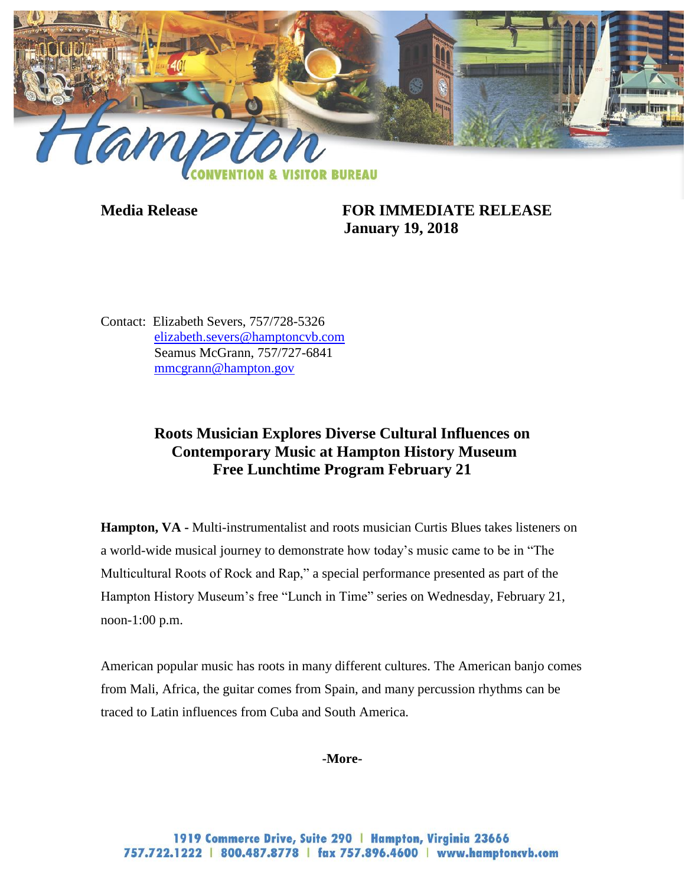

**Media Release FOR IMMEDIATE RELEASE January 19, 2018**

Contact: Elizabeth Severs, 757/728-5326 [elizabeth.severs@hamptoncvb.com](mailto:elizabeth.severs@hamptoncvb.com) Seamus McGrann, 757/727-6841 [mmcgrann@hampton.gov](mailto:mmcgrann@hampton.gov)

# **Roots Musician Explores Diverse Cultural Influences on Contemporary Music at Hampton History Museum Free Lunchtime Program February 21**

**Hampton, VA -** Multi-instrumentalist and roots musician Curtis Blues takes listeners on a world-wide musical journey to demonstrate how today's music came to be in "The Multicultural Roots of Rock and Rap," a special performance presented as part of the Hampton History Museum's free "Lunch in Time" series on Wednesday, February 21, noon-1:00 p.m.

American popular music has roots in many different cultures. The American banjo comes from Mali, Africa, the guitar comes from Spain, and many percussion rhythms can be traced to Latin influences from Cuba and South America.

## **-More-**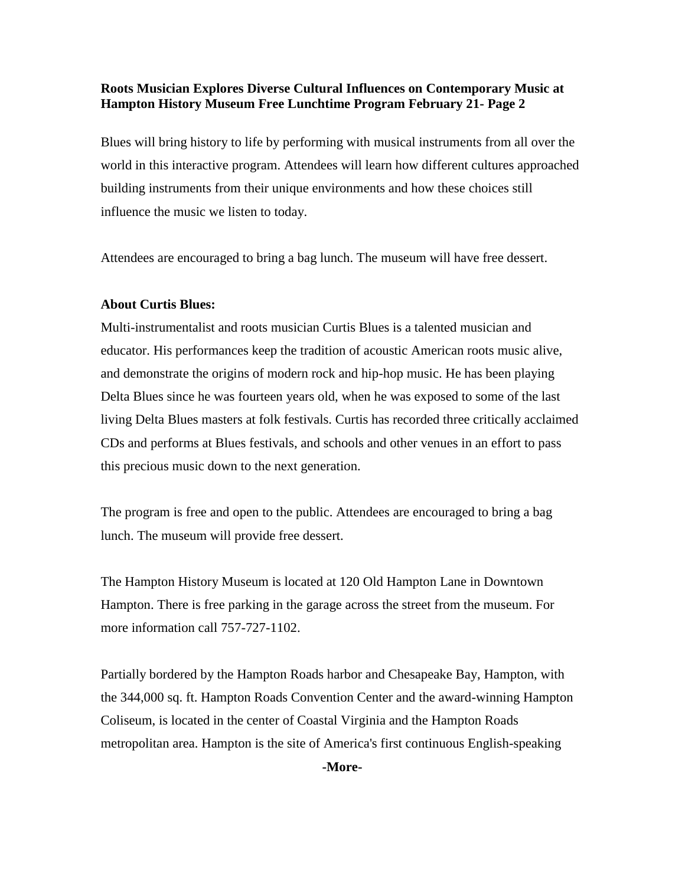## **Roots Musician Explores Diverse Cultural Influences on Contemporary Music at Hampton History Museum Free Lunchtime Program February 21- Page 2**

Blues will bring history to life by performing with musical instruments from all over the world in this interactive program. Attendees will learn how different cultures approached building instruments from their unique environments and how these choices still influence the music we listen to today.

Attendees are encouraged to bring a bag lunch. The museum will have free dessert.

## **About Curtis Blues:**

Multi-instrumentalist and roots musician Curtis Blues is a talented musician and educator. His performances keep the tradition of acoustic American roots music alive, and demonstrate the origins of modern rock and hip-hop music. He has been playing Delta Blues since he was fourteen years old, when he was exposed to some of the last living Delta Blues masters at folk festivals. Curtis has recorded three critically acclaimed CDs and performs at Blues festivals, and schools and other venues in an effort to pass this precious music down to the next generation.

The program is free and open to the public. Attendees are encouraged to bring a bag lunch. The museum will provide free dessert.

The Hampton History Museum is located at 120 Old Hampton Lane in Downtown Hampton. There is free parking in the garage across the street from the museum. For more information call 757-727-1102.

Partially bordered by the Hampton Roads harbor and Chesapeake Bay, Hampton, with the 344,000 sq. ft. Hampton Roads Convention Center and the award-winning Hampton Coliseum, is located in the center of Coastal Virginia and the Hampton Roads metropolitan area. Hampton is the site of America's first continuous English-speaking

**-More-**